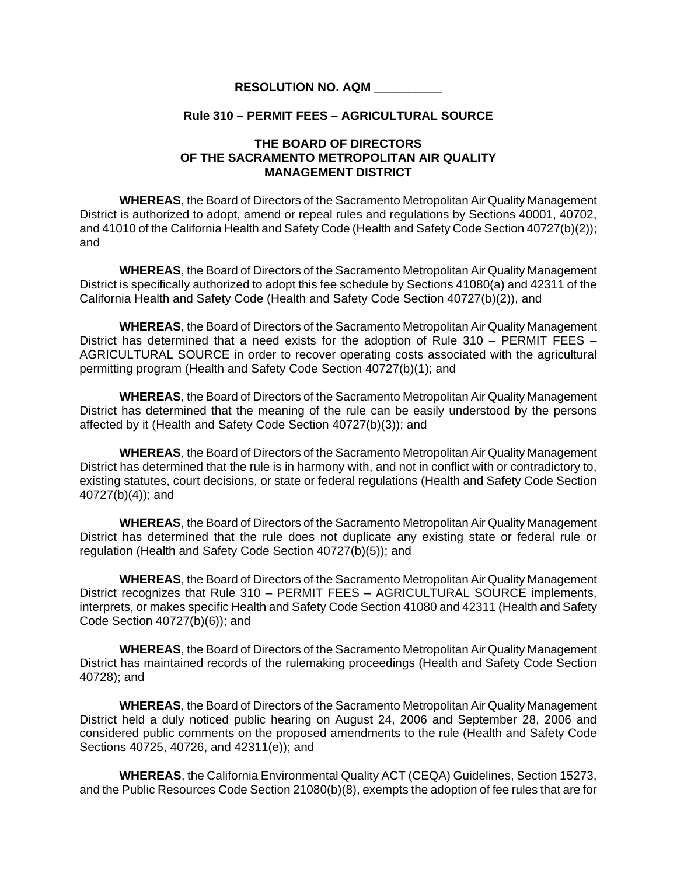## **RESOLUTION NO. AQM \_\_\_\_\_\_\_\_\_\_**

## **Rule 310 – PERMIT FEES – AGRICULTURAL SOURCE**

## **THE BOARD OF DIRECTORS OF THE SACRAMENTO METROPOLITAN AIR QUALITY MANAGEMENT DISTRICT**

 **WHEREAS**, the Board of Directors of the Sacramento Metropolitan Air Quality Management District is authorized to adopt, amend or repeal rules and regulations by Sections 40001, 40702, and 41010 of the California Health and Safety Code (Health and Safety Code Section 40727(b)(2)); and

**WHEREAS**, the Board of Directors of the Sacramento Metropolitan Air Quality Management District is specifically authorized to adopt this fee schedule by Sections 41080(a) and 42311 of the California Health and Safety Code (Health and Safety Code Section 40727(b)(2)), and

**WHEREAS**, the Board of Directors of the Sacramento Metropolitan Air Quality Management District has determined that a need exists for the adoption of Rule 310 – PERMIT FEES – AGRICULTURAL SOURCE in order to recover operating costs associated with the agricultural permitting program (Health and Safety Code Section 40727(b)(1); and

**WHEREAS**, the Board of Directors of the Sacramento Metropolitan Air Quality Management District has determined that the meaning of the rule can be easily understood by the persons affected by it (Health and Safety Code Section 40727(b)(3)); and

**WHEREAS**, the Board of Directors of the Sacramento Metropolitan Air Quality Management District has determined that the rule is in harmony with, and not in conflict with or contradictory to, existing statutes, court decisions, or state or federal regulations (Health and Safety Code Section 40727(b)(4)); and

**WHEREAS**, the Board of Directors of the Sacramento Metropolitan Air Quality Management District has determined that the rule does not duplicate any existing state or federal rule or regulation (Health and Safety Code Section 40727(b)(5)); and

**WHEREAS**, the Board of Directors of the Sacramento Metropolitan Air Quality Management District recognizes that Rule 310 – PERMIT FEES – AGRICULTURAL SOURCE implements, interprets, or makes specific Health and Safety Code Section 41080 and 42311 (Health and Safety Code Section 40727(b)(6)); and

**WHEREAS**, the Board of Directors of the Sacramento Metropolitan Air Quality Management District has maintained records of the rulemaking proceedings (Health and Safety Code Section 40728); and

**WHEREAS**, the Board of Directors of the Sacramento Metropolitan Air Quality Management District held a duly noticed public hearing on August 24, 2006 and September 28, 2006 and considered public comments on the proposed amendments to the rule (Health and Safety Code Sections 40725, 40726, and 42311(e)); and

**WHEREAS**, the California Environmental Quality ACT (CEQA) Guidelines, Section 15273, and the Public Resources Code Section 21080(b)(8), exempts the adoption of fee rules that are for